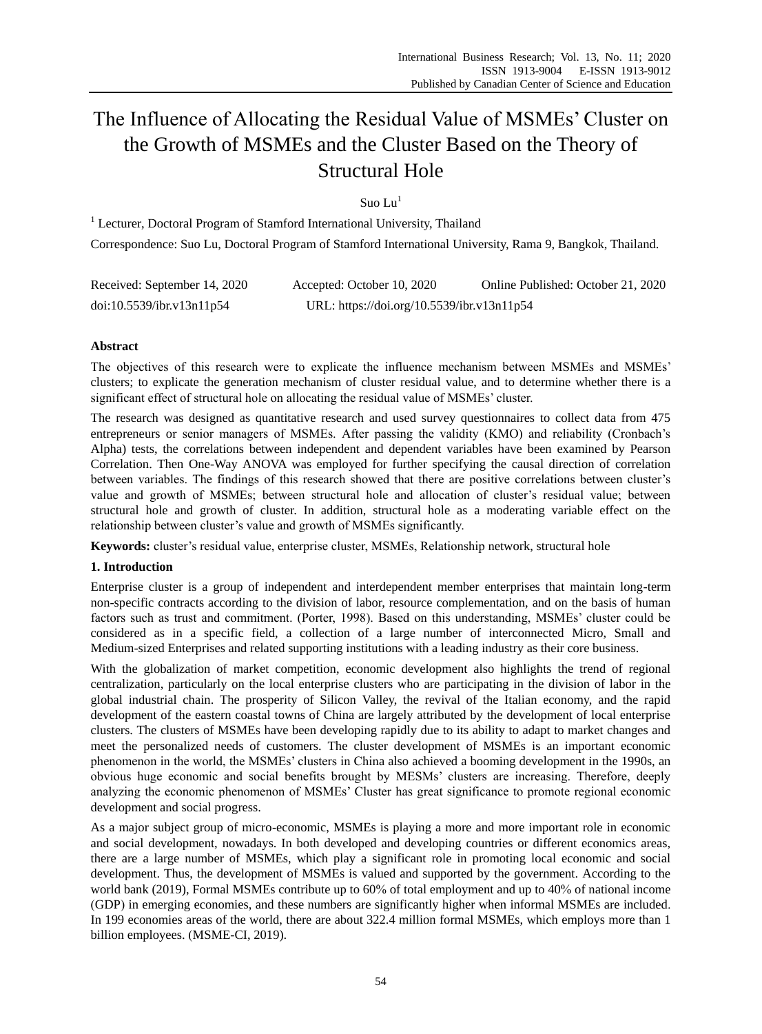# The Influence of Allocating the Residual Value of MSMEs' Cluster on the Growth of MSMEs and the Cluster Based on the Theory of Structural Hole

Suo Lu $<sup>1</sup>$ </sup>

<sup>1</sup> Lecturer, Doctoral Program of Stamford International University, Thailand Correspondence: Suo Lu, Doctoral Program of Stamford International University, Rama 9, Bangkok, Thailand.

| Received: September 14, 2020 | Accepted: October 10, 2020                 | Online Published: October 21, 2020 |
|------------------------------|--------------------------------------------|------------------------------------|
| doi:10.5539/ibr.v13n11p54    | URL: https://doi.org/10.5539/ibr.v13n11p54 |                                    |

# **Abstract**

The objectives of this research were to explicate the influence mechanism between MSMEs and MSMEs' clusters; to explicate the generation mechanism of cluster residual value, and to determine whether there is a significant effect of structural hole on allocating the residual value of MSMEs' cluster.

The research was designed as quantitative research and used survey questionnaires to collect data from 475 entrepreneurs or senior managers of MSMEs. After passing the validity (KMO) and reliability (Cronbach's Alpha) tests, the correlations between independent and dependent variables have been examined by Pearson Correlation. Then One-Way ANOVA was employed for further specifying the causal direction of correlation between variables. The findings of this research showed that there are positive correlations between cluster's value and growth of MSMEs; between structural hole and allocation of cluster's residual value; between structural hole and growth of cluster. In addition, structural hole as a moderating variable effect on the relationship between cluster's value and growth of MSMEs significantly.

**Keywords:** cluster's residual value, enterprise cluster, MSMEs, Relationship network, structural hole

# **1. Introduction**

Enterprise cluster is a group of independent and interdependent member enterprises that maintain long-term non-specific contracts according to the division of labor, resource complementation, and on the basis of human factors such as trust and commitment. (Porter, 1998). Based on this understanding, MSMEs' cluster could be considered as in a specific field, a collection of a large number of interconnected Micro, Small and Medium-sized Enterprises and related supporting institutions with a leading industry as their core business.

With the globalization of market competition, economic development also highlights the trend of regional centralization, particularly on the local enterprise clusters who are participating in the division of labor in the global industrial chain. The prosperity of Silicon Valley, the revival of the Italian economy, and the rapid development of the eastern coastal towns of China are largely attributed by the development of local enterprise clusters. The clusters of MSMEs have been developing rapidly due to its ability to adapt to market changes and meet the personalized needs of customers. The cluster development of MSMEs is an important economic phenomenon in the world, the MSMEs' clusters in China also achieved a booming development in the 1990s, an obvious huge economic and social benefits brought by MESMs' clusters are increasing. Therefore, deeply analyzing the economic phenomenon of MSMEs' Cluster has great significance to promote regional economic development and social progress.

As a major subject group of micro-economic, MSMEs is playing a more and more important role in economic and social development, nowadays. In both developed and developing countries or different economics areas, there are a large number of MSMEs, which play a significant role in promoting local economic and social development. Thus, the development of MSMEs is valued and supported by the government. According to the world bank (2019), Formal MSMEs contribute up to 60% of total employment and up to 40% of national income (GDP) in emerging economies, and these numbers are significantly higher when informal MSMEs are included. In 199 economies areas of the world, there are about 322.4 million formal MSMEs, which employs more than 1 billion employees. (MSME-CI, 2019).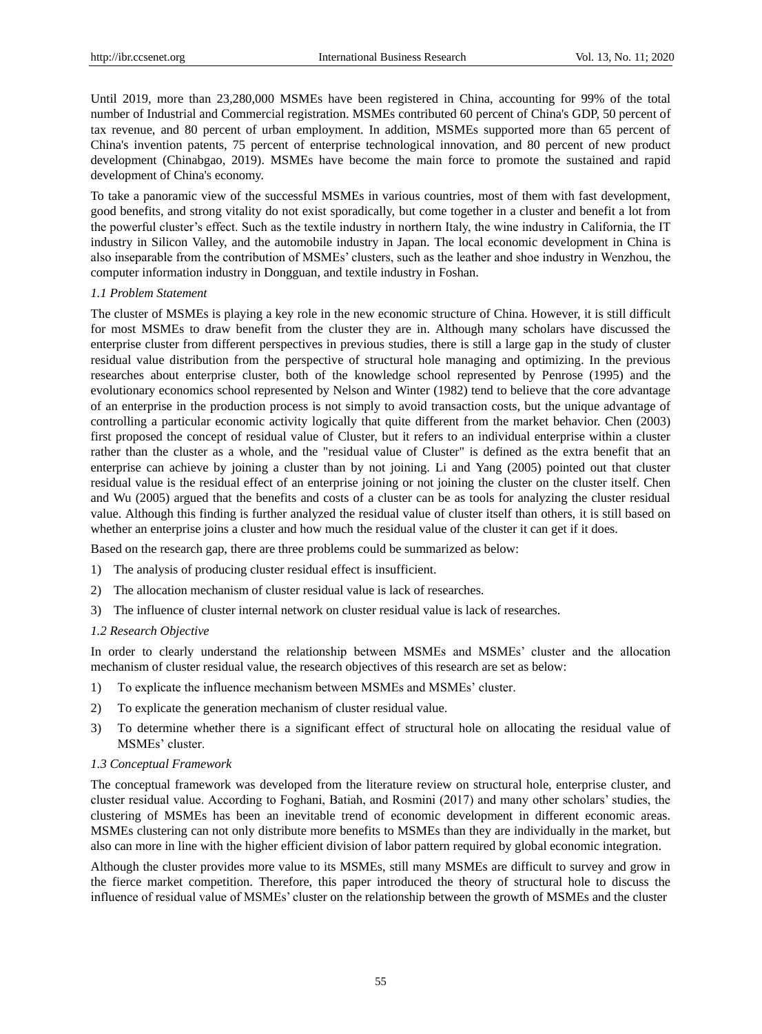Until 2019, more than 23,280,000 MSMEs have been registered in China, accounting for 99% of the total number of Industrial and Commercial registration. MSMEs contributed 60 percent of China's GDP, 50 percent of tax revenue, and 80 percent of urban employment. In addition, MSMEs supported more than 65 percent of China's invention patents, 75 percent of enterprise technological innovation, and 80 percent of new product development (Chinabgao, 2019). MSMEs have become the main force to promote the sustained and rapid development of China's economy.

To take a panoramic view of the successful MSMEs in various countries, most of them with fast development, good benefits, and strong vitality do not exist sporadically, but come together in a cluster and benefit a lot from the powerful cluster's effect. Such as the textile industry in northern Italy, the wine industry in California, the IT industry in Silicon Valley, and the automobile industry in Japan. The local economic development in China is also inseparable from the contribution of MSMEs' clusters, such as the leather and shoe industry in Wenzhou, the computer information industry in Dongguan, and textile industry in Foshan.

#### *1.1 Problem Statement*

The cluster of MSMEs is playing a key role in the new economic structure of China. However, it is still difficult for most MSMEs to draw benefit from the cluster they are in. Although many scholars have discussed the enterprise cluster from different perspectives in previous studies, there is still a large gap in the study of cluster residual value distribution from the perspective of structural hole managing and optimizing. In the previous researches about enterprise cluster, both of the knowledge school represented by Penrose (1995) and the evolutionary economics school represented by Nelson and Winter (1982) tend to believe that the core advantage of an enterprise in the production process is not simply to avoid transaction costs, but the unique advantage of controlling a particular economic activity logically that quite different from the market behavior. Chen (2003) first proposed the concept of residual value of Cluster, but it refers to an individual enterprise within a cluster rather than the cluster as a whole, and the "residual value of Cluster" is defined as the extra benefit that an enterprise can achieve by joining a cluster than by not joining. Li and Yang (2005) pointed out that cluster residual value is the residual effect of an enterprise joining or not joining the cluster on the cluster itself. Chen and Wu (2005) argued that the benefits and costs of a cluster can be as tools for analyzing the cluster residual value. Although this finding is further analyzed the residual value of cluster itself than others, it is still based on whether an enterprise joins a cluster and how much the residual value of the cluster it can get if it does.

Based on the research gap, there are three problems could be summarized as below:

- 1) The analysis of producing cluster residual effect is insufficient.
- 2) The allocation mechanism of cluster residual value is lack of researches.
- 3) The influence of cluster internal network on cluster residual value is lack of researches.

# *1.2 Research Objective*

In order to clearly understand the relationship between MSMEs and MSMEs' cluster and the allocation mechanism of cluster residual value, the research objectives of this research are set as below:

- 1) To explicate the influence mechanism between MSMEs and MSMEs' cluster.
- 2) To explicate the generation mechanism of cluster residual value.
- 3) To determine whether there is a significant effect of structural hole on allocating the residual value of MSMEs' cluster.

#### *1.3 Conceptual Framework*

The conceptual framework was developed from the literature review on structural hole, enterprise cluster, and cluster residual value. According to Foghani, Batiah, and Rosmini (2017) and many other scholars' studies, the clustering of MSMEs has been an inevitable trend of economic development in different economic areas. MSMEs clustering can not only distribute more benefits to MSMEs than they are individually in the market, but also can more in line with the higher efficient division of labor pattern required by global economic integration.

Although the cluster provides more value to its MSMEs, still many MSMEs are difficult to survey and grow in the fierce market competition. Therefore, this paper introduced the theory of structural hole to discuss the influence of residual value of MSMEs' cluster on the relationship between the growth of MSMEs and the cluster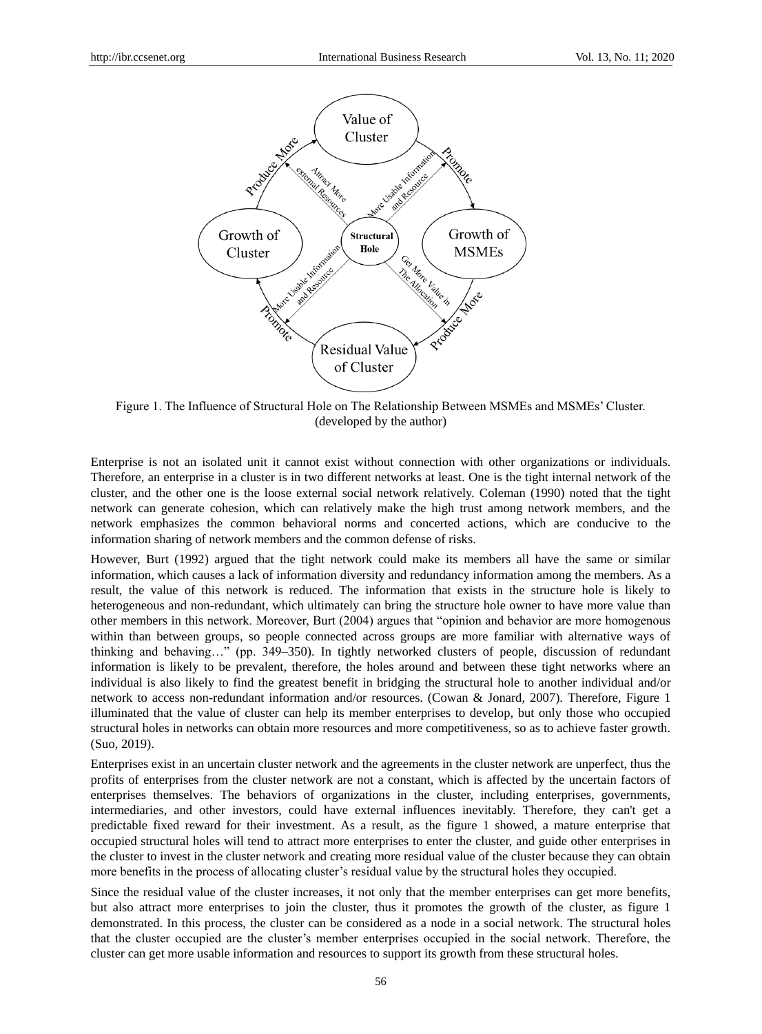

Figure 1. The Influence of Structural Hole on The Relationship Between MSMEs and MSMEs' Cluster. (developed by the author)

Enterprise is not an isolated unit it cannot exist without connection with other organizations or individuals. Therefore, an enterprise in a cluster is in two different networks at least. One is the tight internal network of the cluster, and the other one is the loose external social network relatively. Coleman (1990) noted that the tight network can generate cohesion, which can relatively make the high trust among network members, and the network emphasizes the common behavioral norms and concerted actions, which are conducive to the information sharing of network members and the common defense of risks.

However, Burt (1992) argued that the tight network could make its members all have the same or similar information, which causes a lack of information diversity and redundancy information among the members. As a result, the value of this network is reduced. The information that exists in the structure hole is likely to heterogeneous and non-redundant, which ultimately can bring the structure hole owner to have more value than other members in this network. Moreover, Burt (2004) argues that "opinion and behavior are more homogenous within than between groups, so people connected across groups are more familiar with alternative ways of thinking and behaving…" (pp. 349–350). In tightly networked clusters of people, discussion of redundant information is likely to be prevalent, therefore, the holes around and between these tight networks where an individual is also likely to find the greatest benefit in bridging the structural hole to another individual and/or network to access non-redundant information and/or resources. (Cowan & Jonard, 2007). Therefore, Figure 1 illuminated that the value of cluster can help its member enterprises to develop, but only those who occupied structural holes in networks can obtain more resources and more competitiveness, so as to achieve faster growth. (Suo, 2019).

Enterprises exist in an uncertain cluster network and the agreements in the cluster network are unperfect, thus the profits of enterprises from the cluster network are not a constant, which is affected by the uncertain factors of enterprises themselves. The behaviors of organizations in the cluster, including enterprises, governments, intermediaries, and other investors, could have external influences inevitably. Therefore, they can't get a predictable fixed reward for their investment. As a result, as the figure 1 showed, a mature enterprise that occupied structural holes will tend to attract more enterprises to enter the cluster, and guide other enterprises in the cluster to invest in the cluster network and creating more residual value of the cluster because they can obtain more benefits in the process of allocating cluster's residual value by the structural holes they occupied.

Since the residual value of the cluster increases, it not only that the member enterprises can get more benefits, but also attract more enterprises to join the cluster, thus it promotes the growth of the cluster, as figure 1 demonstrated. In this process, the cluster can be considered as a node in a social network. The structural holes that the cluster occupied are the cluster's member enterprises occupied in the social network. Therefore, the cluster can get more usable information and resources to support its growth from these structural holes.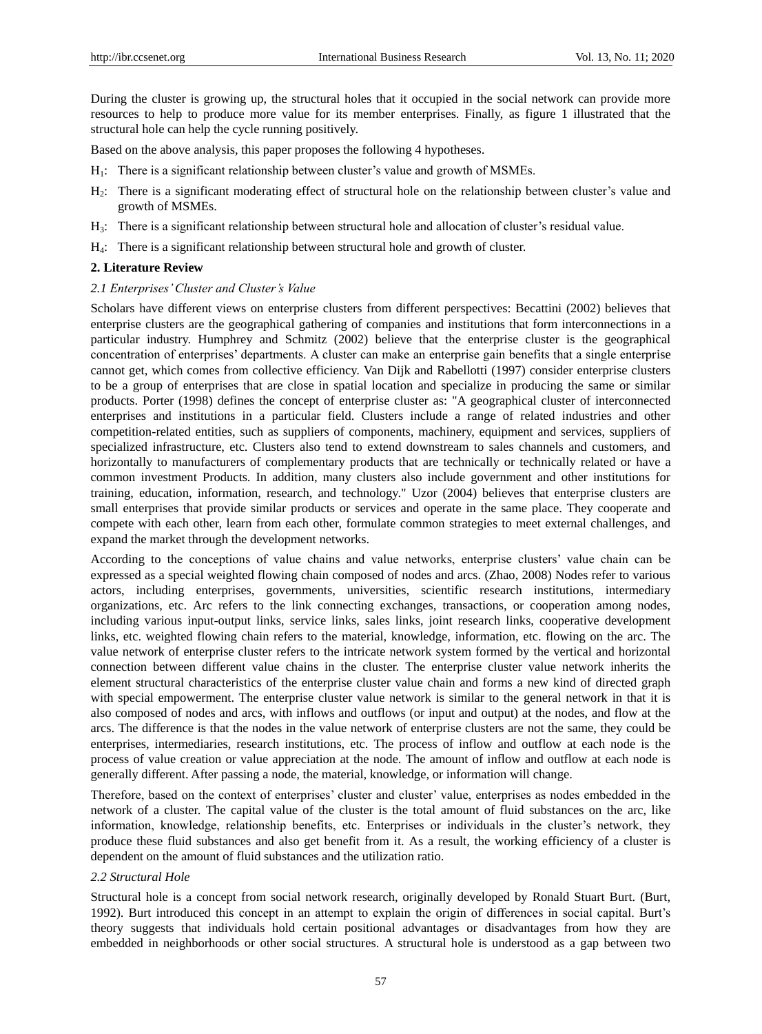During the cluster is growing up, the structural holes that it occupied in the social network can provide more resources to help to produce more value for its member enterprises. Finally, as figure 1 illustrated that the structural hole can help the cycle running positively.

Based on the above analysis, this paper proposes the following 4 hypotheses.

- $H_1$ : There is a significant relationship between cluster's value and growth of MSMEs.
- H2: There is a significant moderating effect of structural hole on the relationship between cluster's value and growth of MSMEs.
- H3: There is a significant relationship between structural hole and allocation of cluster's residual value.
- H4: There is a significant relationship between structural hole and growth of cluster.

## **2. Literature Review**

#### *2.1 Enterprises' Cluster and Cluster's Value*

Scholars have different views on enterprise clusters from different perspectives: Becattini (2002) believes that enterprise clusters are the geographical gathering of companies and institutions that form interconnections in a particular industry. Humphrey and Schmitz (2002) believe that the enterprise cluster is the geographical concentration of enterprises' departments. A cluster can make an enterprise gain benefits that a single enterprise cannot get, which comes from collective efficiency. Van Dijk and Rabellotti (1997) consider enterprise clusters to be a group of enterprises that are close in spatial location and specialize in producing the same or similar products. Porter (1998) defines the concept of enterprise cluster as: "A geographical cluster of interconnected enterprises and institutions in a particular field. Clusters include a range of related industries and other competition-related entities, such as suppliers of components, machinery, equipment and services, suppliers of specialized infrastructure, etc. Clusters also tend to extend downstream to sales channels and customers, and horizontally to manufacturers of complementary products that are technically or technically related or have a common investment Products. In addition, many clusters also include government and other institutions for training, education, information, research, and technology." Uzor (2004) believes that enterprise clusters are small enterprises that provide similar products or services and operate in the same place. They cooperate and compete with each other, learn from each other, formulate common strategies to meet external challenges, and expand the market through the development networks.

According to the conceptions of value chains and value networks, enterprise clusters' value chain can be expressed as a special weighted flowing chain composed of nodes and arcs. (Zhao, 2008) Nodes refer to various actors, including enterprises, governments, universities, scientific research institutions, intermediary organizations, etc. Arc refers to the link connecting exchanges, transactions, or cooperation among nodes, including various input-output links, service links, sales links, joint research links, cooperative development links, etc. weighted flowing chain refers to the material, knowledge, information, etc. flowing on the arc. The value network of enterprise cluster refers to the intricate network system formed by the vertical and horizontal connection between different value chains in the cluster. The enterprise cluster value network inherits the element structural characteristics of the enterprise cluster value chain and forms a new kind of directed graph with special empowerment. The enterprise cluster value network is similar to the general network in that it is also composed of nodes and arcs, with inflows and outflows (or input and output) at the nodes, and flow at the arcs. The difference is that the nodes in the value network of enterprise clusters are not the same, they could be enterprises, intermediaries, research institutions, etc. The process of inflow and outflow at each node is the process of value creation or value appreciation at the node. The amount of inflow and outflow at each node is generally different. After passing a node, the material, knowledge, or information will change.

Therefore, based on the context of enterprises' cluster and cluster' value, enterprises as nodes embedded in the network of a cluster. The capital value of the cluster is the total amount of fluid substances on the arc, like information, knowledge, relationship benefits, etc. Enterprises or individuals in the cluster's network, they produce these fluid substances and also get benefit from it. As a result, the working efficiency of a cluster is dependent on the amount of fluid substances and the utilization ratio.

#### *2.2 Structural Hole*

Structural hole is a concept from social network research, originally developed by Ronald Stuart Burt. (Burt, 1992). Burt introduced this concept in an attempt to explain the origin of differences in social capital. Burt's theory suggests that individuals hold certain positional advantages or disadvantages from how they are embedded in neighborhoods or other social structures. A structural hole is understood as a gap between two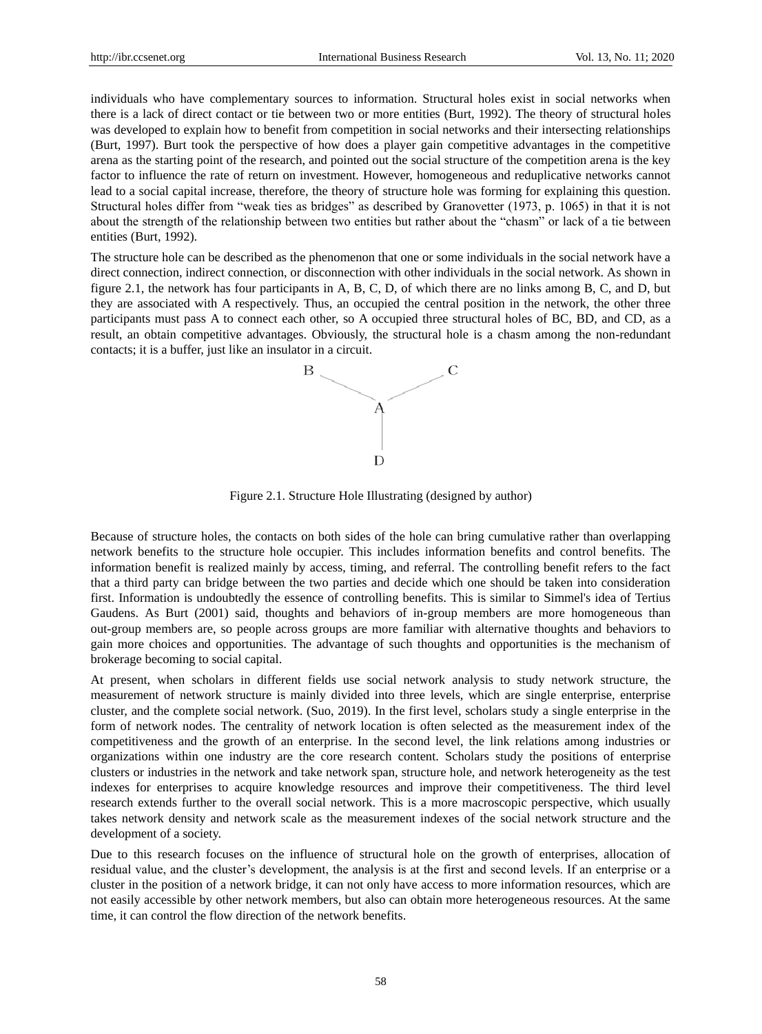individuals who have complementary sources to information. Structural holes exist in social networks when there is a lack of direct contact or tie between two or more entities (Burt, 1992). The theory of structural holes was developed to explain how to benefit from competition in social networks and their intersecting relationships (Burt, 1997). Burt took the perspective of how does a player gain competitive advantages in the competitive arena as the starting point of the research, and pointed out the social structure of the competition arena is the key factor to influence the rate of return on investment. However, homogeneous and reduplicative networks cannot lead to a social capital increase, therefore, the theory of structure hole was forming for explaining this question. Structural holes differ from "weak ties as bridges" as described by Granovetter (1973, p. 1065) in that it is not about the strength of the relationship between two entities but rather about the "chasm" or lack of a tie between entities (Burt, 1992).

The structure hole can be described as the phenomenon that one or some individuals in the social network have a direct connection, indirect connection, or disconnection with other individuals in the social network. As shown in figure 2.1, the network has four participants in A, B, C, D, of which there are no links among B, C, and D, but they are associated with A respectively. Thus, an occupied the central position in the network, the other three participants must pass A to connect each other, so A occupied three structural holes of BC, BD, and CD, as a result, an obtain competitive advantages. Obviously, the structural hole is a chasm among the non-redundant contacts; it is a buffer, just like an insulator in a circuit.



Figure 2.1. Structure Hole Illustrating (designed by author)

Because of structure holes, the contacts on both sides of the hole can bring cumulative rather than overlapping network benefits to the structure hole occupier. This includes information benefits and control benefits. The information benefit is realized mainly by access, timing, and referral. The controlling benefit refers to the fact that a third party can bridge between the two parties and decide which one should be taken into consideration first. Information is undoubtedly the essence of controlling benefits. This is similar to Simmel's idea of Tertius Gaudens. As Burt (2001) said, thoughts and behaviors of in-group members are more homogeneous than out-group members are, so people across groups are more familiar with alternative thoughts and behaviors to gain more choices and opportunities. The advantage of such thoughts and opportunities is the mechanism of brokerage becoming to social capital.

At present, when scholars in different fields use social network analysis to study network structure, the measurement of network structure is mainly divided into three levels, which are single enterprise, enterprise cluster, and the complete social network. (Suo, 2019). In the first level, scholars study a single enterprise in the form of network nodes. The centrality of network location is often selected as the measurement index of the competitiveness and the growth of an enterprise. In the second level, the link relations among industries or organizations within one industry are the core research content. Scholars study the positions of enterprise clusters or industries in the network and take network span, structure hole, and network heterogeneity as the test indexes for enterprises to acquire knowledge resources and improve their competitiveness. The third level research extends further to the overall social network. This is a more macroscopic perspective, which usually takes network density and network scale as the measurement indexes of the social network structure and the development of a society.

Due to this research focuses on the influence of structural hole on the growth of enterprises, allocation of residual value, and the cluster's development, the analysis is at the first and second levels. If an enterprise or a cluster in the position of a network bridge, it can not only have access to more information resources, which are not easily accessible by other network members, but also can obtain more heterogeneous resources. At the same time, it can control the flow direction of the network benefits.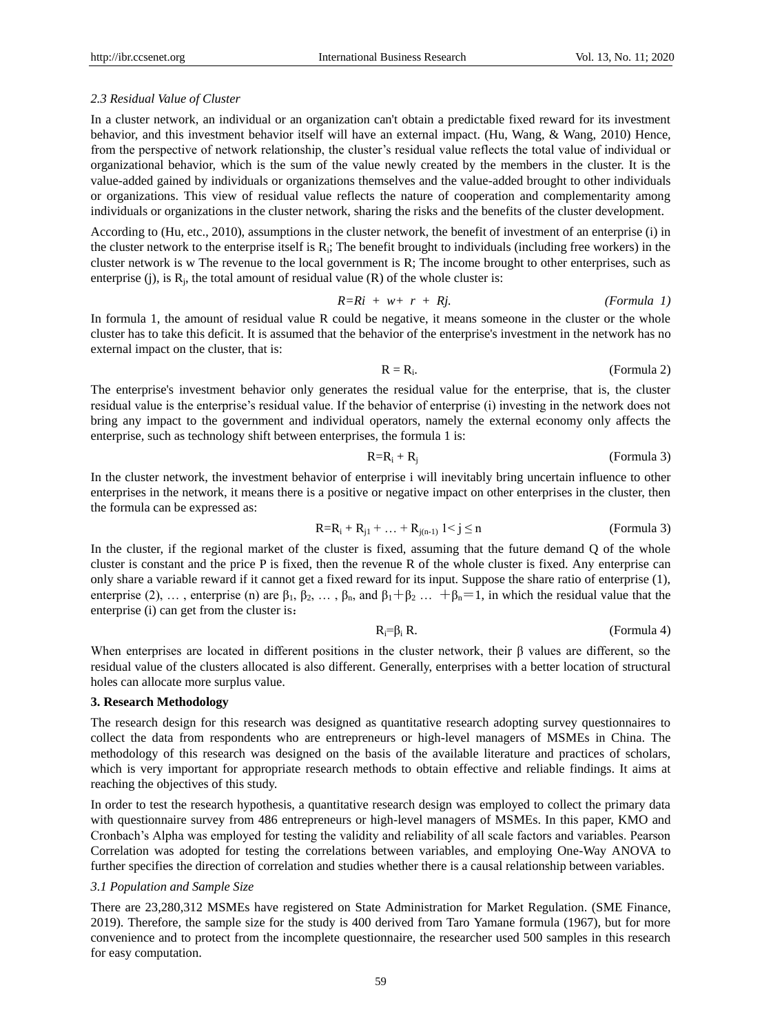## *2.3 Residual Value of Cluster*

In a cluster network, an individual or an organization can't obtain a predictable fixed reward for its investment behavior, and this investment behavior itself will have an external impact. (Hu, Wang, & Wang, 2010) Hence, from the perspective of network relationship, the cluster's residual value reflects the total value of individual or organizational behavior, which is the sum of the value newly created by the members in the cluster. It is the value-added gained by individuals or organizations themselves and the value-added brought to other individuals or organizations. This view of residual value reflects the nature of cooperation and complementarity among individuals or organizations in the cluster network, sharing the risks and the benefits of the cluster development.

According to (Hu, etc., 2010), assumptions in the cluster network, the benefit of investment of an enterprise (i) in the cluster network to the enterprise itself is  $R_i$ ; The benefit brought to individuals (including free workers) in the cluster network is w The revenue to the local government is R; The income brought to other enterprises, such as enterprise (j), is  $R_j$ , the total amount of residual value (R) of the whole cluster is:

$$
R=Ri + w+ r + Rj. \qquad (Formula 1)
$$

In formula 1, the amount of residual value R could be negative, it means someone in the cluster or the whole cluster has to take this deficit. It is assumed that the behavior of the enterprise's investment in the network has no external impact on the cluster, that is:

$$
R = R_i. \t\t (Formula 2)
$$

The enterprise's investment behavior only generates the residual value for the enterprise, that is, the cluster residual value is the enterprise's residual value. If the behavior of enterprise (i) investing in the network does not bring any impact to the government and individual operators, namely the external economy only affects the enterprise, such as technology shift between enterprises, the formula 1 is:

R=R<sup>i</sup> + Rj (Formula 3)

In the cluster network, the investment behavior of enterprise i will inevitably bring uncertain influence to other enterprises in the network, it means there is a positive or negative impact on other enterprises in the cluster, then the formula can be expressed as:

$$
R=R_i + R_{j1} + ... + R_{j(n-1)} 1 < j \le n
$$
 (Formula 3)

In the cluster, if the regional market of the cluster is fixed, assuming that the future demand Q of the whole cluster is constant and the price P is fixed, then the revenue R of the whole cluster is fixed. Any enterprise can only share a variable reward if it cannot get a fixed reward for its input. Suppose the share ratio of enterprise (1), enterprise (2), …, enterprise (n) are  $\beta_1$ ,  $\beta_2$ , …,  $\beta_n$ , and  $\beta_1 + \beta_2$  …,  $\beta_n = 1$ , in which the residual value that the enterprise (i) can get from the cluster is:

$$
R_i = \beta_i R. \tag{Formula 4}
$$

When enterprises are located in different positions in the cluster network, their β values are different, so the residual value of the clusters allocated is also different. Generally, enterprises with a better location of structural holes can allocate more surplus value.

## **3. Research Methodology**

The research design for this research was designed as quantitative research adopting survey questionnaires to collect the data from respondents who are entrepreneurs or high-level managers of MSMEs in China. The methodology of this research was designed on the basis of the available literature and practices of scholars, which is very important for appropriate research methods to obtain effective and reliable findings. It aims at reaching the objectives of this study.

In order to test the research hypothesis, a quantitative research design was employed to collect the primary data with questionnaire survey from 486 entrepreneurs or high-level managers of MSMEs. In this paper, KMO and Cronbach's Alpha was employed for testing the validity and reliability of all scale factors and variables. Pearson Correlation was adopted for testing the correlations between variables, and employing One-Way ANOVA to further specifies the direction of correlation and studies whether there is a causal relationship between variables.

# *3.1 Population and Sample Size*

There are 23,280,312 MSMEs have registered on State Administration for Market Regulation. (SME Finance, 2019). Therefore, the sample size for the study is 400 derived from Taro Yamane formula (1967), but for more convenience and to protect from the incomplete questionnaire, the researcher used 500 samples in this research for easy computation.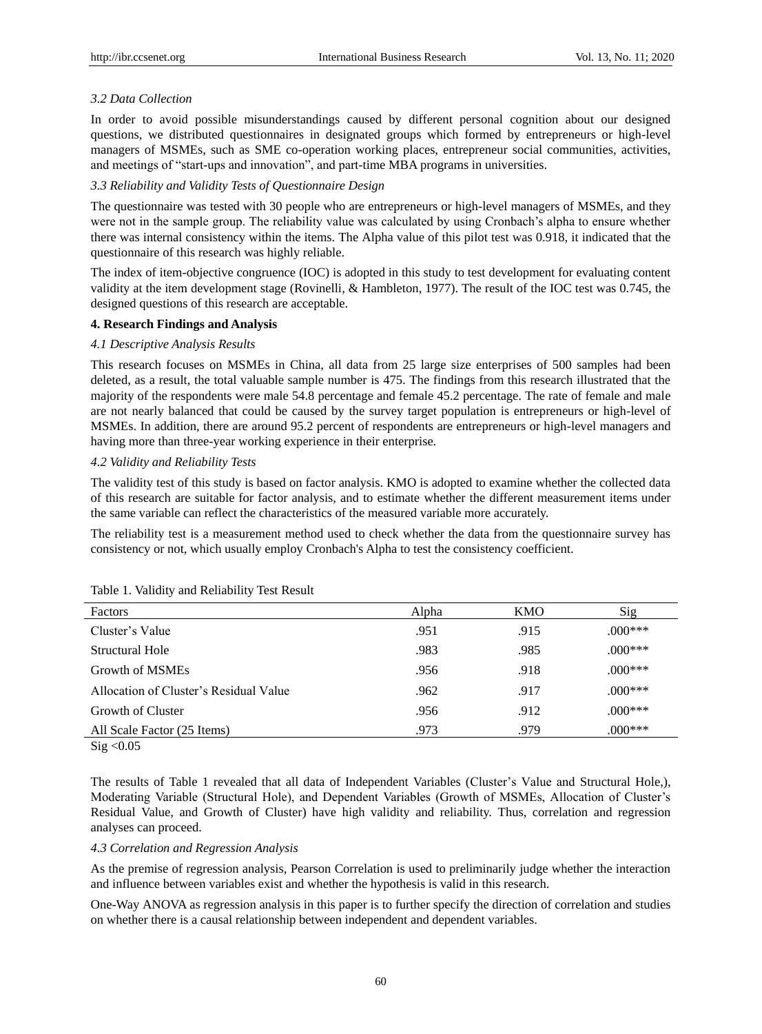# *3.2 Data Collection*

In order to avoid possible misunderstandings caused by different personal cognition about our designed questions, we distributed questionnaires in designated groups which formed by entrepreneurs or high-level managers of MSMEs, such as SME co-operation working places, entrepreneur social communities, activities, and meetings of "start-ups and innovation", and part-time MBA programs in universities.

### *3.3 Reliability and Validity Tests of Questionnaire Design*

The questionnaire was tested with 30 people who are entrepreneurs or high-level managers of MSMEs, and they were not in the sample group. The reliability value was calculated by using Cronbach's alpha to ensure whether there was internal consistency within the items. The Alpha value of this pilot test was 0.918, it indicated that the questionnaire of this research was highly reliable.

The index of item-objective congruence (IOC) is adopted in this study to test development for evaluating content validity at the item development stage (Rovinelli, & Hambleton, 1977). The result of the IOC test was 0.745, the designed questions of this research are acceptable.

#### **4. Research Findings and Analysis**

#### *4.1 Descriptive Analysis Results*

This research focuses on MSMEs in China, all data from 25 large size enterprises of 500 samples had been deleted, as a result, the total valuable sample number is 475. The findings from this research illustrated that the majority of the respondents were male 54.8 percentage and female 45.2 percentage. The rate of female and male are not nearly balanced that could be caused by the survey target population is entrepreneurs or high-level of MSMEs. In addition, there are around 95.2 percent of respondents are entrepreneurs or high-level managers and having more than three-year working experience in their enterprise.

#### *4.2 Validity and Reliability Tests*

The validity test of this study is based on factor analysis. KMO is adopted to examine whether the collected data of this research are suitable for factor analysis, and to estimate whether the different measurement items under the same variable can reflect the characteristics of the measured variable more accurately.

The reliability test is a measurement method used to check whether the data from the questionnaire survey has consistency or not, which usually employ Cronbach's Alpha to test the consistency coefficient.

| Factors                                | Alpha | KMO  | Sig        |  |
|----------------------------------------|-------|------|------------|--|
| Cluster's Value                        | .951  | .915 | $0.00$ *** |  |
| Structural Hole                        | .983  | .985 | $.000***$  |  |
| Growth of MSMEs                        | .956  | .918 | $.000***$  |  |
| Allocation of Cluster's Residual Value | .962  | .917 | $.000***$  |  |
| Growth of Cluster                      | .956  | .912 | $.000***$  |  |
| All Scale Factor (25 Items)            | .973  | .979 | $.000***$  |  |
| - - - - - -                            |       |      |            |  |

#### Table 1. Validity and Reliability Test Result

 $Sig < 0.05$ 

The results of Table 1 revealed that all data of Independent Variables (Cluster's Value and Structural Hole,), Moderating Variable (Structural Hole), and Dependent Variables (Growth of MSMEs, Allocation of Cluster's Residual Value, and Growth of Cluster) have high validity and reliability. Thus, correlation and regression analyses can proceed.

## *4.3 Correlation and Regression Analysis*

As the premise of regression analysis, Pearson Correlation is used to preliminarily judge whether the interaction and influence between variables exist and whether the hypothesis is valid in this research.

One-Way ANOVA as regression analysis in this paper is to further specify the direction of correlation and studies on whether there is a causal relationship between independent and dependent variables.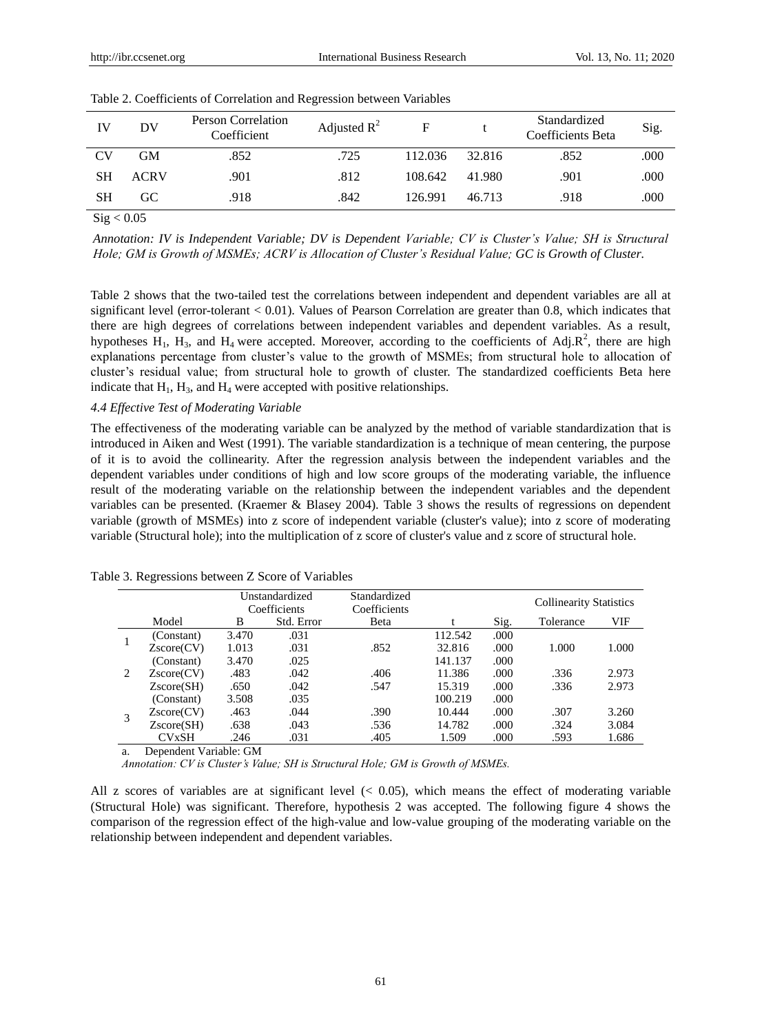| IV | DV          | Person Correlation<br>Coefficient | Adjusted $R^2$ | F       |        | Standardized<br>Coefficients Beta | Sig. |
|----|-------------|-----------------------------------|----------------|---------|--------|-----------------------------------|------|
| CV | GМ          | .852                              | .725           | 112.036 | 32.816 | .852                              | .000 |
| SН | <b>ACRV</b> | .901                              | .812           | 108.642 | 41.980 | .901                              | .000 |
| SН | GC.         | .918                              | .842           | 126.991 | 46.713 | .918                              | .000 |

 $Sig < 0.05$ 

*Annotation: IV is Independent Variable; DV is Dependent Variable; CV is Cluster's Value; SH is Structural Hole; GM is Growth of MSMEs; ACRV is Allocation of Cluster's Residual Value; GC is Growth of Cluster.*

Table 2 shows that the two-tailed test the correlations between independent and dependent variables are all at significant level (error-tolerant < 0.01). Values of Pearson Correlation are greater than 0.8, which indicates that there are high degrees of correlations between independent variables and dependent variables. As a result, hypotheses  $H_1$ ,  $H_3$ , and  $H_4$  were accepted. Moreover, according to the coefficients of Adj. $R^2$ , there are high explanations percentage from cluster's value to the growth of MSMEs; from structural hole to allocation of cluster's residual value; from structural hole to growth of cluster. The standardized coefficients Beta here indicate that  $H_1$ ,  $H_3$ , and  $H_4$  were accepted with positive relationships.

#### *4.4 Effective Test of Moderating Variable*

The effectiveness of the moderating variable can be analyzed by the method of variable standardization that is introduced in Aiken and West (1991). The variable standardization is a technique of mean centering, the purpose of it is to avoid the collinearity. After the regression analysis between the independent variables and the dependent variables under conditions of high and low score groups of the moderating variable, the influence result of the moderating variable on the relationship between the independent variables and the dependent variables can be presented. (Kraemer & Blasey 2004). Table 3 shows the results of regressions on dependent variable (growth of MSMEs) into z score of independent variable (cluster's value); into z score of moderating variable (Structural hole); into the multiplication of z score of cluster's value and z score of structural hole.

|   |            |       | Unstandardized<br>Coefficients | Standardized<br>Coefficients |         |      | <b>Collinearity Statistics</b> |       |
|---|------------|-------|--------------------------------|------------------------------|---------|------|--------------------------------|-------|
|   | Model      | B     | Std. Error                     | Beta                         |         | Sig. | Tolerance                      | VIF   |
|   | (Constant) | 3.470 | .031                           |                              | 112.542 | .000 |                                |       |
|   | Zscore(CV) | 1.013 | .031                           | .852                         | 32.816  | .000 | 1.000                          | 1.000 |
|   | (Constant) | 3.470 | .025                           |                              | 141.137 | .000 |                                |       |
| 2 | Zscore(CV) | .483  | .042                           | .406                         | 11.386  | .000 | .336                           | 2.973 |
|   | Zscore(SH) | .650  | .042                           | .547                         | 15.319  | .000 | .336                           | 2.973 |
|   | (Constant) | 3.508 | .035                           |                              | 100.219 | .000 |                                |       |
|   | Zscore(CV) | .463  | .044                           | .390                         | 10.444  | .000 | .307                           | 3.260 |
|   | Zscore(SH) | .638  | .043                           | .536                         | 14.782  | .000 | .324                           | 3.084 |
|   | CVxSH      | .246  | .031                           | .405                         | 1.509   | .000 | .593                           | 1.686 |

| Table 3. Regressions between Z Score of Variables |  |  |
|---------------------------------------------------|--|--|
|---------------------------------------------------|--|--|

a. Dependent Variable: GM

*Annotation: CV is Cluster's Value; SH is Structural Hole; GM is Growth of MSMEs.*

All z scores of variables are at significant level  $(0.05)$ , which means the effect of moderating variable (Structural Hole) was significant. Therefore, hypothesis 2 was accepted. The following figure 4 shows the comparison of the regression effect of the high-value and low-value grouping of the moderating variable on the relationship between independent and dependent variables.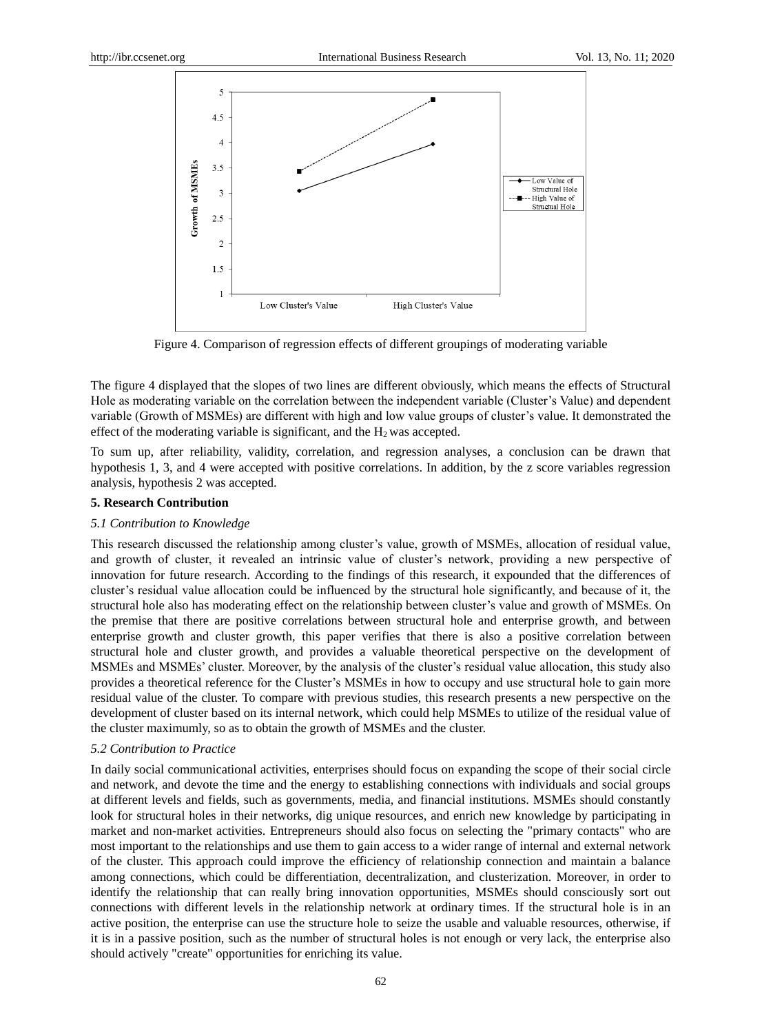

Figure 4. Comparison of regression effects of different groupings of moderating variable

The figure 4 displayed that the slopes of two lines are different obviously, which means the effects of Structural Hole as moderating variable on the correlation between the independent variable (Cluster's Value) and dependent variable (Growth of MSMEs) are different with high and low value groups of cluster's value. It demonstrated the effect of the moderating variable is significant, and the  $H_2$  was accepted.

To sum up, after reliability, validity, correlation, and regression analyses, a conclusion can be drawn that hypothesis 1, 3, and 4 were accepted with positive correlations. In addition, by the z score variables regression analysis, hypothesis 2 was accepted.

#### **5. Research Contribution**

## *5.1 Contribution to Knowledge*

This research discussed the relationship among cluster's value, growth of MSMEs, allocation of residual value, and growth of cluster, it revealed an intrinsic value of cluster's network, providing a new perspective of innovation for future research. According to the findings of this research, it expounded that the differences of cluster's residual value allocation could be influenced by the structural hole significantly, and because of it, the structural hole also has moderating effect on the relationship between cluster's value and growth of MSMEs. On the premise that there are positive correlations between structural hole and enterprise growth, and between enterprise growth and cluster growth, this paper verifies that there is also a positive correlation between structural hole and cluster growth, and provides a valuable theoretical perspective on the development of MSMEs and MSMEs' cluster. Moreover, by the analysis of the cluster's residual value allocation, this study also provides a theoretical reference for the Cluster's MSMEs in how to occupy and use structural hole to gain more residual value of the cluster. To compare with previous studies, this research presents a new perspective on the development of cluster based on its internal network, which could help MSMEs to utilize of the residual value of the cluster maximumly, so as to obtain the growth of MSMEs and the cluster.

#### *5.2 Contribution to Practice*

In daily social communicational activities, enterprises should focus on expanding the scope of their social circle and network, and devote the time and the energy to establishing connections with individuals and social groups at different levels and fields, such as governments, media, and financial institutions. MSMEs should constantly look for structural holes in their networks, dig unique resources, and enrich new knowledge by participating in market and non-market activities. Entrepreneurs should also focus on selecting the "primary contacts" who are most important to the relationships and use them to gain access to a wider range of internal and external network of the cluster. This approach could improve the efficiency of relationship connection and maintain a balance among connections, which could be differentiation, decentralization, and clusterization. Moreover, in order to identify the relationship that can really bring innovation opportunities, MSMEs should consciously sort out connections with different levels in the relationship network at ordinary times. If the structural hole is in an active position, the enterprise can use the structure hole to seize the usable and valuable resources, otherwise, if it is in a passive position, such as the number of structural holes is not enough or very lack, the enterprise also should actively "create" opportunities for enriching its value.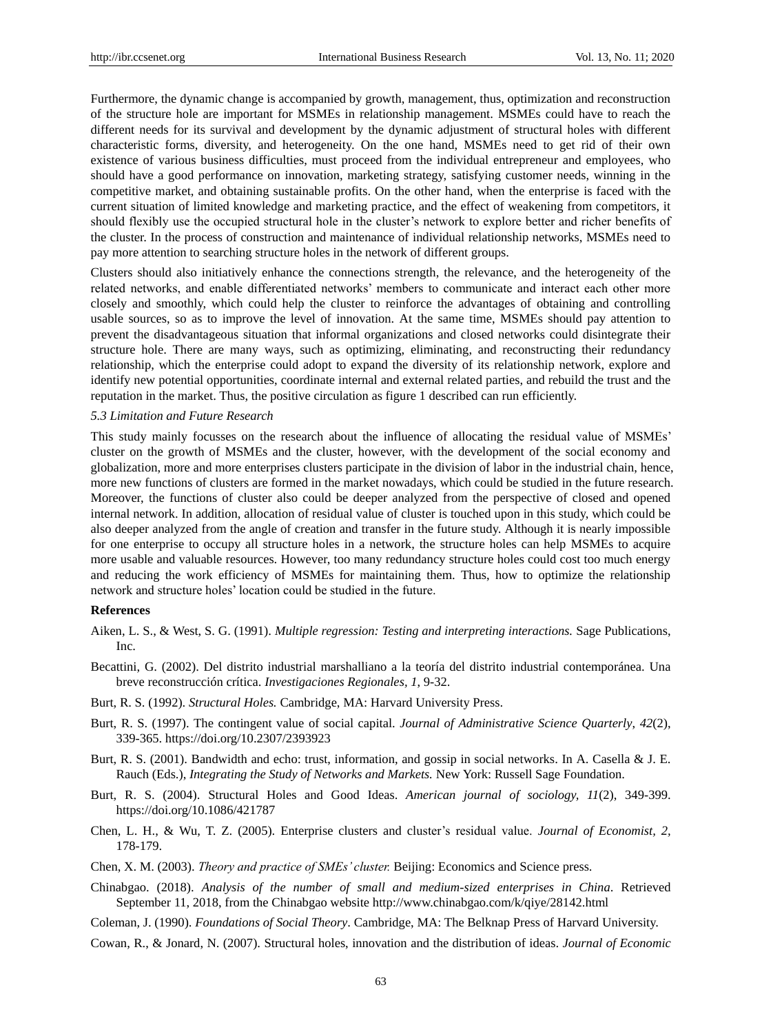Furthermore, the dynamic change is accompanied by growth, management, thus, optimization and reconstruction of the structure hole are important for MSMEs in relationship management. MSMEs could have to reach the different needs for its survival and development by the dynamic adjustment of structural holes with different characteristic forms, diversity, and heterogeneity. On the one hand, MSMEs need to get rid of their own existence of various business difficulties, must proceed from the individual entrepreneur and employees, who should have a good performance on innovation, marketing strategy, satisfying customer needs, winning in the competitive market, and obtaining sustainable profits. On the other hand, when the enterprise is faced with the current situation of limited knowledge and marketing practice, and the effect of weakening from competitors, it should flexibly use the occupied structural hole in the cluster's network to explore better and richer benefits of the cluster. In the process of construction and maintenance of individual relationship networks, MSMEs need to pay more attention to searching structure holes in the network of different groups.

Clusters should also initiatively enhance the connections strength, the relevance, and the heterogeneity of the related networks, and enable differentiated networks' members to communicate and interact each other more closely and smoothly, which could help the cluster to reinforce the advantages of obtaining and controlling usable sources, so as to improve the level of innovation. At the same time, MSMEs should pay attention to prevent the disadvantageous situation that informal organizations and closed networks could disintegrate their structure hole. There are many ways, such as optimizing, eliminating, and reconstructing their redundancy relationship, which the enterprise could adopt to expand the diversity of its relationship network, explore and identify new potential opportunities, coordinate internal and external related parties, and rebuild the trust and the reputation in the market. Thus, the positive circulation as figure 1 described can run efficiently.

#### *5.3 Limitation and Future Research*

This study mainly focusses on the research about the influence of allocating the residual value of MSMEs' cluster on the growth of MSMEs and the cluster, however, with the development of the social economy and globalization, more and more enterprises clusters participate in the division of labor in the industrial chain, hence, more new functions of clusters are formed in the market nowadays, which could be studied in the future research. Moreover, the functions of cluster also could be deeper analyzed from the perspective of closed and opened internal network. In addition, allocation of residual value of cluster is touched upon in this study, which could be also deeper analyzed from the angle of creation and transfer in the future study. Although it is nearly impossible for one enterprise to occupy all structure holes in a network, the structure holes can help MSMEs to acquire more usable and valuable resources. However, too many redundancy structure holes could cost too much energy and reducing the work efficiency of MSMEs for maintaining them. Thus, how to optimize the relationship network and structure holes' location could be studied in the future.

#### **References**

- Aiken, L. S., & West, S. G. (1991). *Multiple regression: Testing and interpreting interactions.* Sage Publications, Inc.
- Becattini, G. (2002). Del distrito industrial marshalliano a la teor á del distrito industrial contemporánea. Una breve reconstrucción crítica. *Investigaciones Regionales, 1*, 9-32.
- Burt, R. S. (1992). *Structural Holes.* Cambridge, MA: Harvard University Press.
- Burt, R. S. (1997). The contingent value of social capital. *Journal of Administrative Science Quarterly*, *42*(2), 339-365. https://doi.org/10.2307/2393923
- Burt, R. S. (2001). Bandwidth and echo: trust, information, and gossip in social networks. In A. Casella & J. E. Rauch (Eds.), *Integrating the Study of Networks and Markets.* New York: Russell Sage Foundation.
- Burt, R. S. (2004). Structural Holes and Good Ideas. *American journal of sociology, 11*(2), 349-399. https://doi.org/10.1086/421787
- Chen, L. H., & Wu, T. Z. (2005). Enterprise clusters and cluster's residual value. *Journal of Economist, 2,*  178-179.
- Chen, X. M. (2003). *Theory and practice of SMEs' cluster.* Beijing: Economics and Science press.
- Chinabgao. (2018). *Analysis of the number of small and medium-sized enterprises in China*. Retrieved September 11, 2018, from the Chinabgao website http://www.chinabgao.com/k/qiye/28142.html
- Coleman, J. (1990). *Foundations of Social Theory*. Cambridge, MA: The Belknap Press of Harvard University.
- Cowan, R., & Jonard, N. (2007). Structural holes, innovation and the distribution of ideas. *Journal of Economic*